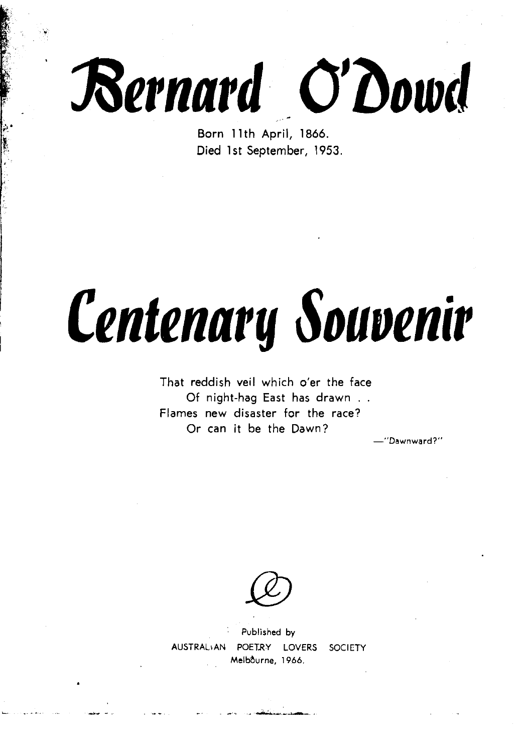

Born **l l** th April, **1866.**  Died **1st** September, 1953.

## **Centenary Souvenir**

That reddish veil which o'er the face Of night-hag East has drawn . . Flames new disaster for the race? Or can it be the Dawn?

Dawnward?'

Published by POETRY LOVERS SOCIETY Melbourne, 1966.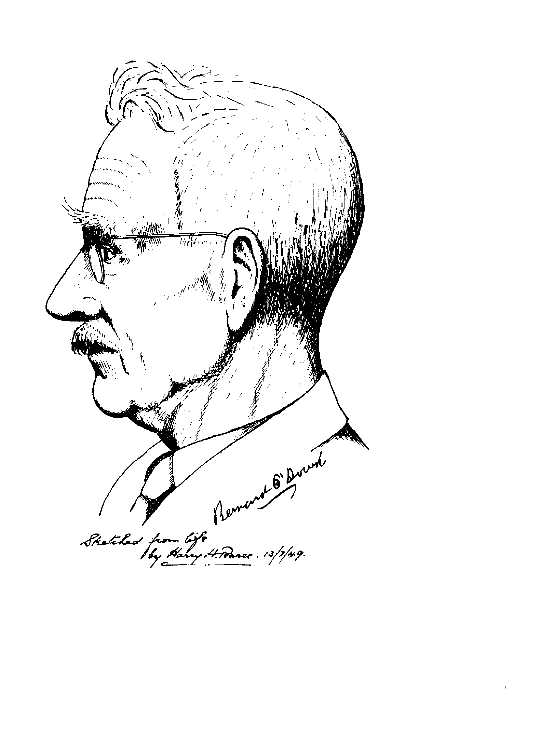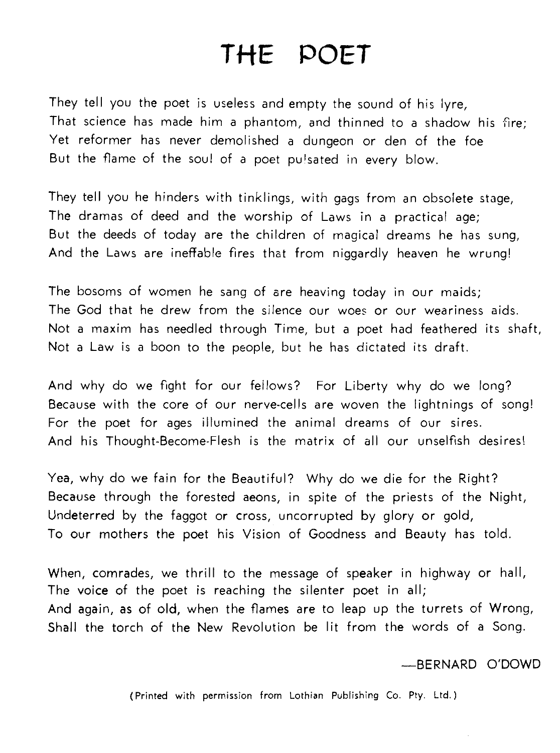## *THE* POET

They tell you the poet is useless and empty the sound of his lyre, That science has made him a phantom, and thinned to a shadow his fire; Yet reformer has never demolished a dungeon or den of the foe But the flame of the soul of a poet pulsated in every blow.

They tell you he hinders with tinklings, with gags from an obsolete stage, The dramas of deed and the worship of Laws in a practical age; But the deeds of today are the children of magical dreams he has sung, And the Laws are ineffable fires that from niggardly heaven he wrung!

The bosoms of women he sang of are heaving today in our maids; The God that he drew from the silence our woes or our weariness aids. Not a maxim has needled through Time, but a poet had feathered its shaft, Not a Law is a boon to the people, but he has dictated its draft.

And why do we fight for our feilows? For Liberty why do we long? Because with the core of our nerve-cells are woven the lightnings of song! For the poet for ages illumined the animal dreams of our sires. And his Thought-Become-Flesh is the matrix of all our unselfish desires!

Yea, why do we fain for the Beautiful? Why do we die for the Right? Because through the forested aeons, in spite of the priests of the Night, Undeterred by the faggot or cross, uncorrupted by glory or gold, To our mothers the poet his Vision of Goodness and Beauty has told.

When, comrades, we thrill to the message of speaker in highway or hall, The voice of the poet is reaching the silenter poet in all; And again, as of old, when the flames are to leap up the turrets of Wrong, Shall the torch of the New Revolution be lit from the words of a Song.

-BERNARD O'DOWD

(Printed with permission from Lothian Publishing Co. Pty. Ltd.)